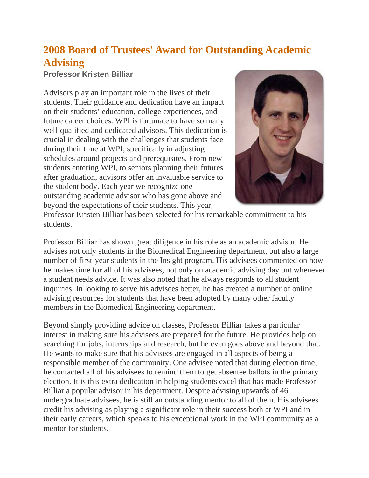## **2008 Board of Trustees' Award for Outstanding Academic Advising**

## **Professor Kristen Billiar**

Advisors play an important role in the lives of their students. Their guidance and dedication have an impact on their students' education, college experiences, and future career choices. WPI is fortunate to have so many well-qualified and dedicated advisors. This dedication is crucial in dealing with the challenges that students face during their time at WPI, specifically in adjusting schedules around projects and prerequisites. From new students entering WPI, to seniors planning their futures after graduation, advisors offer an invaluable service to the student body. Each year we recognize one outstanding academic advisor who has gone above and beyond the expectations of their students. This year,



Professor Kristen Billiar has been selected for his remarkable commitment to his students.

Professor Billiar has shown great diligence in his role as an academic advisor. He advises not only students in the Biomedical Engineering department, but also a large number of first-year students in the Insight program. His advisees commented on how he makes time for all of his advisees, not only on academic advising day but whenever a student needs advice. It was also noted that he always responds to all student inquiries. In looking to serve his advisees better, he has created a number of online advising resources for students that have been adopted by many other faculty members in the Biomedical Engineering department.

Beyond simply providing advice on classes, Professor Billiar takes a particular interest in making sure his advisees are prepared for the future. He provides help on searching for jobs, internships and research, but he even goes above and beyond that. He wants to make sure that his advisees are engaged in all aspects of being a responsible member of the community. One advisee noted that during election time, he contacted all of his advisees to remind them to get absentee ballots in the primary election. It is this extra dedication in helping students excel that has made Professor Billiar a popular advisor in his department. Despite advising upwards of 46 undergraduate advisees, he is still an outstanding mentor to all of them. His advisees credit his advising as playing a significant role in their success both at WPI and in their early careers, which speaks to his exceptional work in the WPI community as a mentor for students.